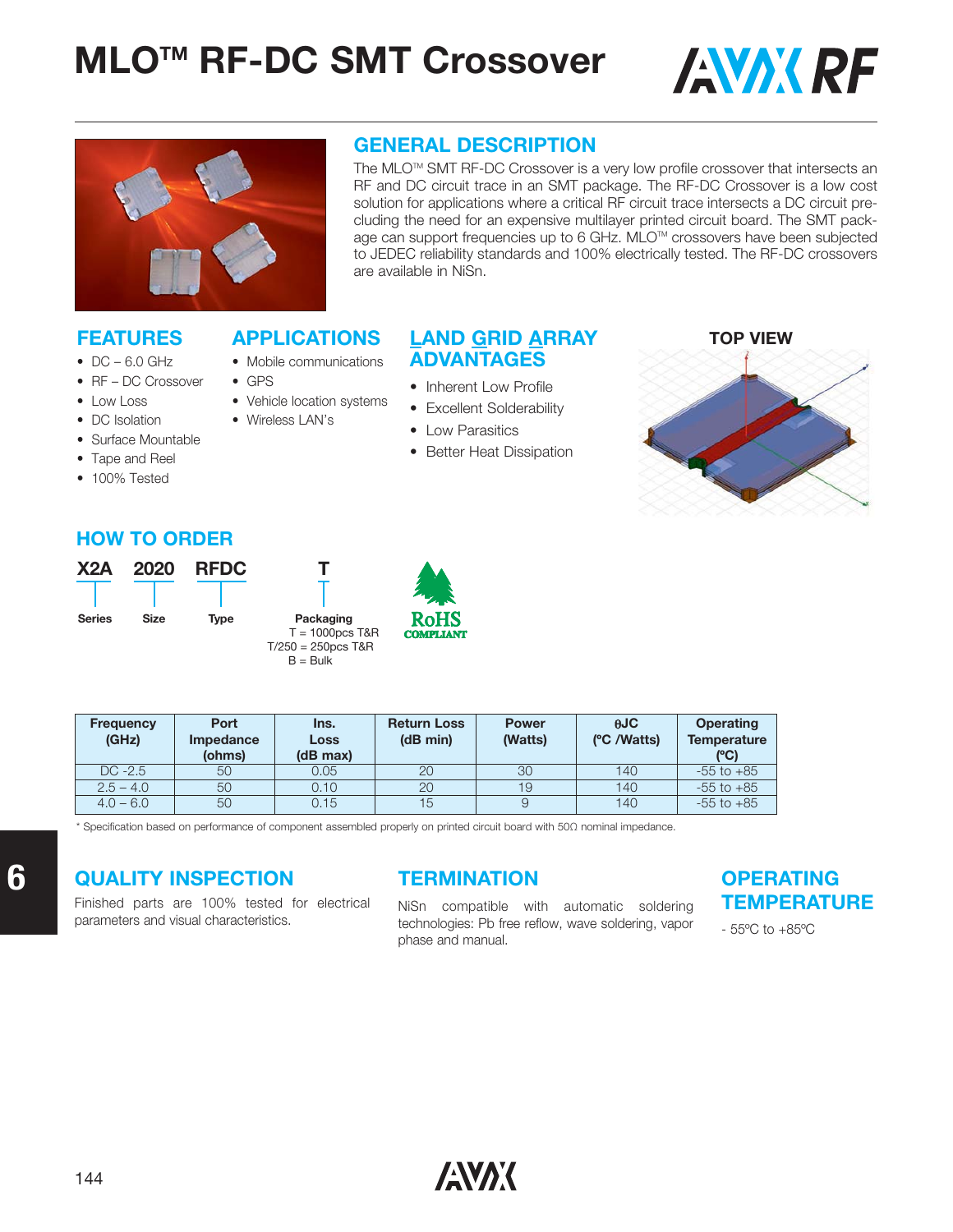



#### **GENERAL DESCRIPTION**

The MLO™ SMT RF-DC Crossover is a very low profile crossover that intersects an RF and DC circuit trace in an SMT package. The RF-DC Crossover is a low cost solution for applications where a critical RF circuit trace intersects a DC circuit precluding the need for an expensive multilayer printed circuit board. The SMT package can support frequencies up to 6 GHz. MLO™ crossovers have been subjected to JEDEC reliability standards and 100% electrically tested. The RF-DC crossovers are available in NiSn.

#### **FEATURES**

- $\bullet$  DC 6.0 GHz
- RF DC Crossover
- Low Loss
- DC Isolation
- Surface Mountable
- Tape and Reel
- 100% Tested

#### **APPLICATIONS LAND GRID ARRAY ADVANTAGES**

- Mobile communications
- GPS
- Vehicle location systems
- Wireless LAN's
	-
- Better Heat Dissipation

• Inherent Low Profile • Excellent Solderability • Low Parasitics



#### **HOW TO ORDER**



| <b>Frequency</b><br>(GHz) | Port<br><b>Impedance</b> | Ins.<br>Loss | <b>Return Loss</b><br>(dB min) | <b>Power</b><br>(Watts) | AJC<br>(°C /Watts) | <b>Operating</b><br><b>Temperature</b> |
|---------------------------|--------------------------|--------------|--------------------------------|-------------------------|--------------------|----------------------------------------|
|                           | (ohms)                   | (dB max)     |                                |                         |                    | (°C)                                   |
| $DC -2.5$                 | 50                       | 0.05         | 20                             | 30                      | 140                | $-55$ to $+85$                         |
| $2.5 - 4.0$               | 50                       | 0.10         | 20                             | 19                      | 140                | $-55$ to $+85$                         |
| $4.0 - 6.0$               | 50                       | 0.15         | 15                             | 9                       | 140                | $-55$ to $+85$                         |

\* Specification based on performance of component assembled properly on printed circuit board with 50Ω nominal impedance.

### **QUALITY INSPECTION**

Finished parts are 100% tested for electrical parameters and visual characteristics.

### **TERMINATION**

NiSn compatible with automatic soldering technologies: Pb free reflow, wave soldering, vapor phase and manual.

#### **OPERATING TEMPERATURE**

- 55ºC to +85ºC

**6**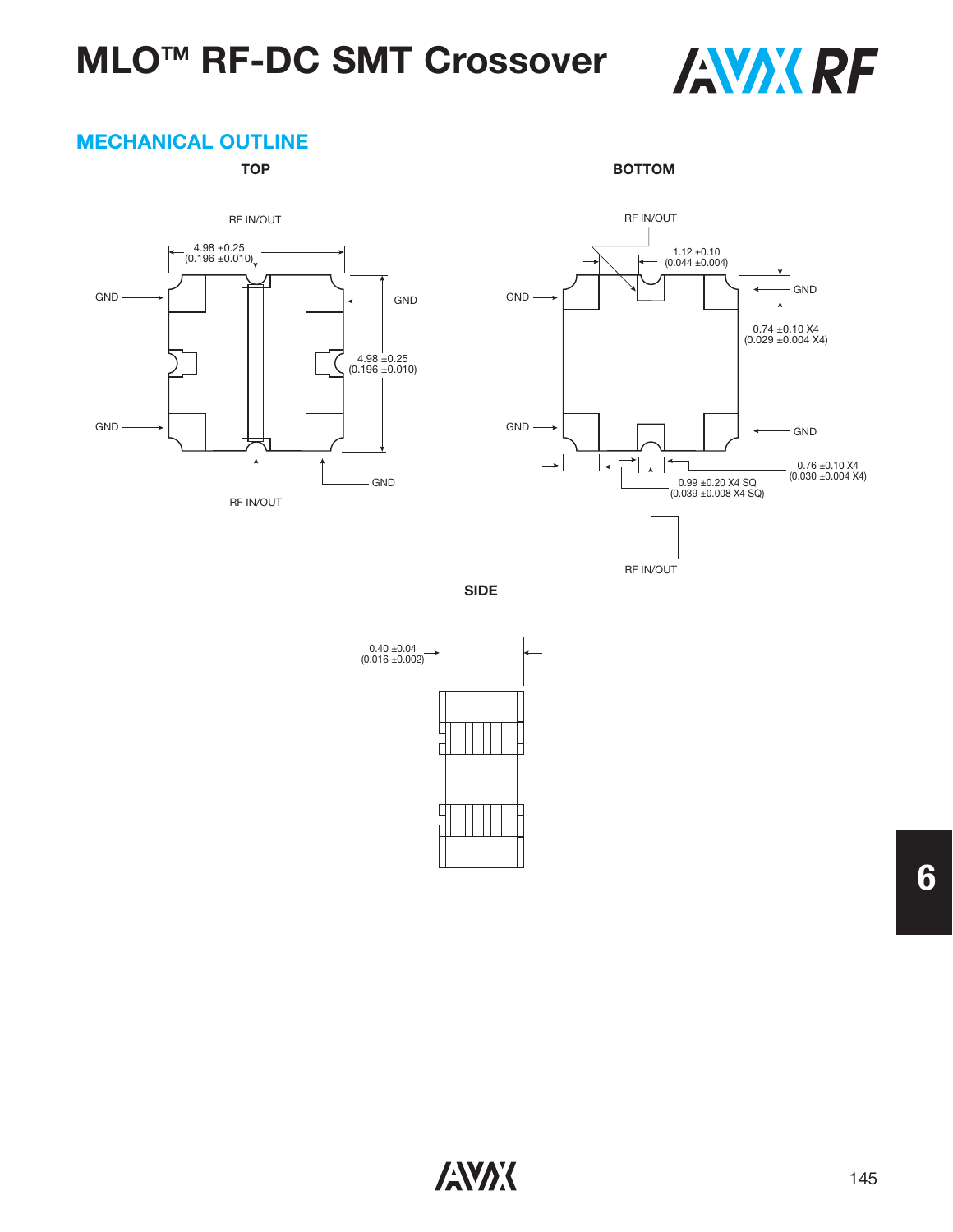# **MLOTM RF-DC SMT Crossover**



#### **MECHANICAL OUTLINE**

TOP BOTTOM





**SIDE**



**6**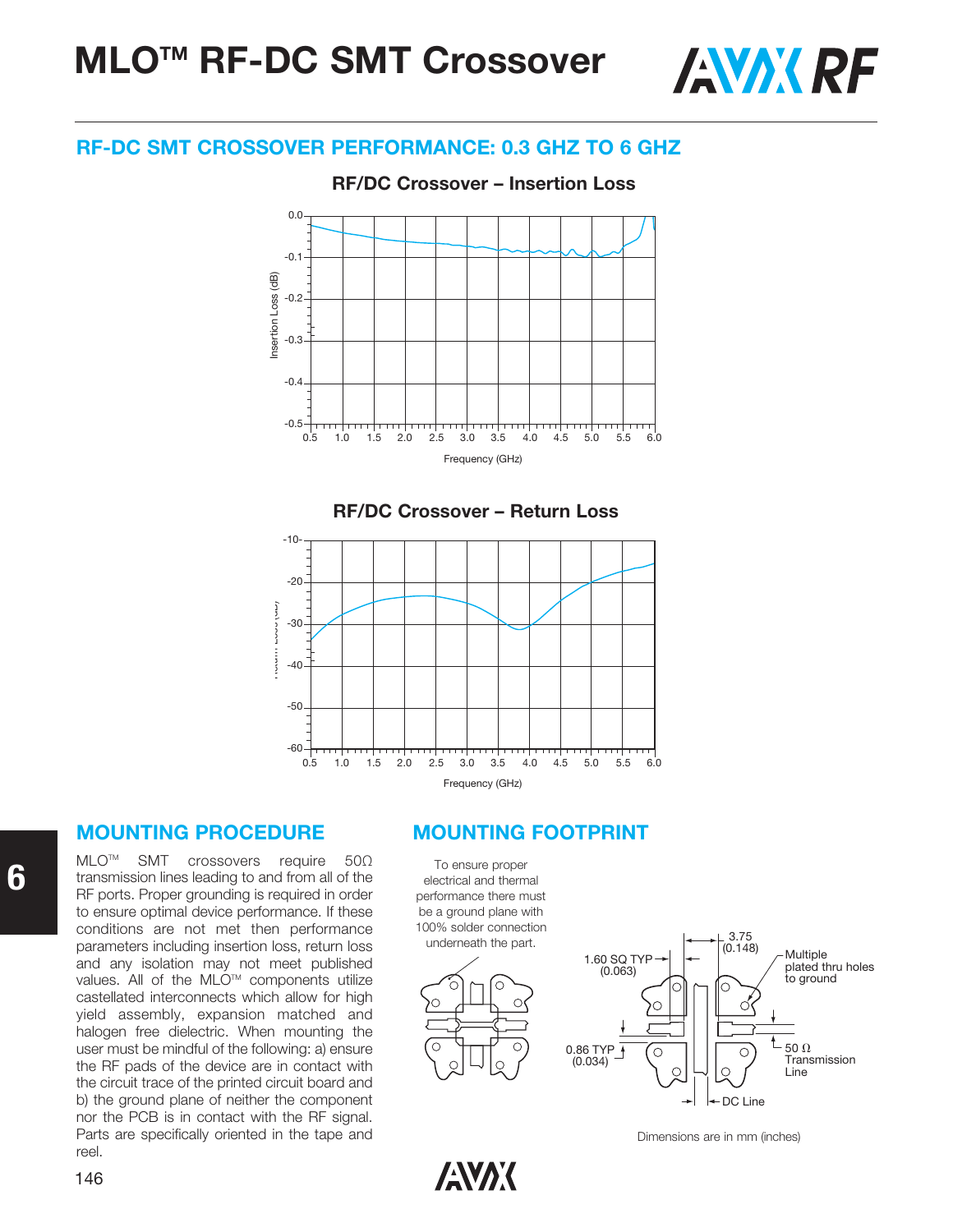**MLOTM RF-DC SMT Crossover**



#### **RF-DC SMT CROSSOVER PERFORMANCE: 0.3 GHZ TO 6 GHZ**

**RF/DC Crossover – Insertion Loss RF/DC Crossover – Insertion Loss**







MLO<sup>™</sup> SMT crossovers require 50Ω transmission lines leading to and from all of the RF ports. Proper grounding is required in order to ensure optimal device performance. If these conditions are not met then performance parameters including insertion loss, return loss and any isolation may not meet published values. All of the MLO™ components utilize castellated interconnects which allow for high yield assembly, expansion matched and halogen free dielectric. When mounting the user must be mindful of the following: a) ensure the RF pads of the device are in contact with the circuit trace of the printed circuit board and b) the ground plane of neither the component nor the PCB is in contact with the RF signal. Parts are specifically oriented in the tape and reel.

#### **MOUNTING PROCEDURE MOUNTING FOOTPRINT**







Dimensions are in mm (inches)

**ANAK**